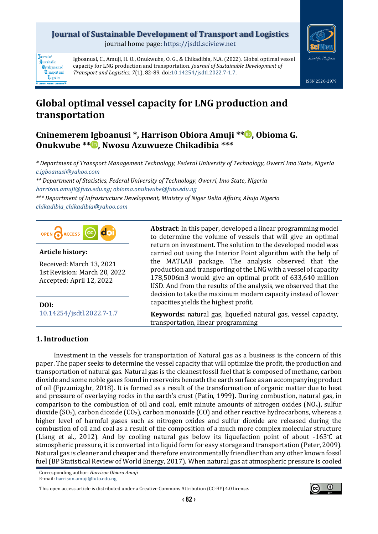## **Journal of Sustainable Development of Transport and Logistics**

journal home page: [https://jsdtl.sciview.net](https://jsdtl.sciview.net/)



**Tournal** of Sustainable **D**evelopment of **Transport** and Logistics

Igboanusi, C., Amuji, H. O., Onukwube, O. G., & Chikadibia, N.A. (2022). Global optimal vessel capacity for LNG production and transportation. *Journal of Sustainable Development of Transport and Logistics, 7*(1), 82-89. doi[:10.14254/jsdtl.2022.7-1.7.](https://doi.org/10.14254/jsdtl.2022.7-1.7)

# **Global optimal vessel capacity for LNG production and transportation**

## **Cninemerem Igboanusi \*, Harrison Obiora Amuji \*[\\*](https://orcid.org/0000-0003-2992-2431) , Obioma G. Onukwube \*[\\*](https://orcid.org/0000-0003-2082-4800) , Nwosu Azuwueze Chikadibia \*\*\***

*\* Department of Transport Management Technology, Federal University of Technology, Owerri Imo State, Nigeria [c.igboanusi@yahoo.com](mailto:c.igboanusi@yahoo.com)*

*\*\* Department of Statistics, Federal University of Technology, Owerri, Imo State, Nigeria [harrison.amuji@futo.edu.ng;](mailto:harrison.amuji@futo.edu.ng) [obioma.onukwube@futo.edu.ng](mailto:obioma.onukwube@futo.edu.ng)*

*\*\*\* Department of Infrastructure Development, Ministry of Niger Delta Affairs, Abuja Nigeria [chikadibia\\_chikadibia@yahoo.com](mailto:chikadibia_chikadibia@yahoo.com)*



#### **Article history:**

Received: March 13, 2021 1st Revision: March 20, 2022 Accepted: April 12, 2022

**DOI:** [10.14254/jsdtl.2022.7-1.7](https://doi.org/10.14254/jsdtl.2022.7-1.7) **Abstract**: In this paper, developed a linear programming model to determine the volume of vessels that will give an optimal return on investment. The solution to the developed model was carried out using the Interior Point algorithm with the help of the MATLAB package. The analysis observed that the production and transporting of the LNG with a vessel of capacity 178,5006m3 would give an optimal profit of 633,640 million USD. And from the results of the analysis, we observed that the decision to take the maximum modern capacity instead of lower capacities yields the highest profit.

**Keywords:** natural gas, liquefied natural gas, vessel capacity, transportation, linear programming.

## **1. Introduction**

Investment in the vessels for transportation of Natural gas as a business is the concern of this paper. The paper seeks to determine the vessel capacity that will optimize the profit, the production and transportation of natural gas. Natural gas is the cleanest fossil fuel that is composed of methane, carbon dioxide and some noble gases found in reservoirs beneath the earth surface as an accompanying product of oil (Fpz.unizg.hr, 2018). It is formed as a result of the transformation of organic matter due to heat and pressure of overlaying rocks in the earth's crust (Patin, 1999). During combustion, natural gas, in comparison to the combustion of oil and coal, emit minute amounts of nitrogen oxides  $(NO<sub>x</sub>)$ , sulfur dioxide (SO<sub>2</sub>), carbon dioxide (CO<sub>2</sub>), carbon monoxide (CO) and other reactive hydrocarbons, whereas a higher level of harmful gases such as nitrogen oxides and sulfur dioxide are released during the combustion of oil and coal as a result of the composition of a much more complex molecular structure (Liang et al., 2012). And by cooling natural gas below its liquefaction point of about -163°C at atmospheric pressure, it is converted into liquid form for easy storage and transportation (Peter, 2009). Natural gas is cleaner and cheaper and therefore environmentally friendlier than any other known fossil fuel (BP Statistical Review of World Energy, 2017). When natural gas at atmospheric pressure is cooled

Corresponding author: *Harrison Obiora Amuji* E-mail[: harrison.amuji@futo.edu.ng](mailto:harrison.amuji@futo.edu.ng)

This open access article is distributed under [a Creative Commons Attribution \(CC-BY\) 4.0 license.](http://creativecommons.org/licenses/by/4.0/)

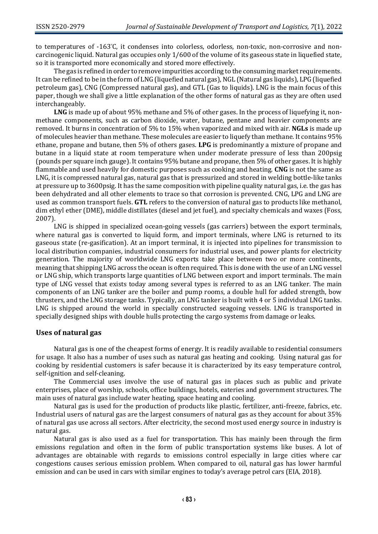to temperatures of -163°C, it condenses into colorless, odorless, non-toxic, non-corrosive and noncarcinogenic liquid. Natural gas occupies only 1/600 of the volume of its gaseous state in liquefied state, so it is transported more economically and stored more effectively.

The gas is refined in order to remove impurities according to the consuming market requirements. It can be refined to be in the form of LNG (liquefied natural gas), NGL (Natural gas liquids), LPG (liquefied petroleum gas), CNG (Compressed natural gas), and GTL (Gas to liquids). LNG is the main focus of this paper, though we shall give a little explanation of the other forms of natural gas as they are often used interchangeably.

**LNG** is made up of about 95% methane and 5% of other gases. In the process of liquefying it, nonmethane components, such as carbon dioxide, water, butane, pentane and heavier components are removed. It burns in concentration of 5% to 15% when vaporized and mixed with air. **NGLs** is made up of molecules heavier than methane. These molecules are easier to liquefy than methane. It contains 95% ethane, propane and butane, then 5% of others gases. **LPG** is predominantly a mixture of propane and butane in a liquid state at room temperature when under moderate pressure of less than 200psig (pounds per square inch gauge). It contains 95% butane and propane, then 5% of other gases. It is highly flammable and used heavily for domestic purposes such as cooking and heating. **CNG** is not the same as LNG, it is compressed natural gas, natural gas that is pressurized and stored in welding bottle-like tanks at pressure up to 3600psig. It has the same composition with pipeline quality natural gas, i.e. the gas has been dehydrated and all other elements to trace so that corrosion is prevented. CNG, LPG and LNG are used as common transport fuels. **GTL** refers to the conversion of natural gas to products like methanol, dim ethyl ether (DME), middle distillates (diesel and jet fuel), and specialty chemicals and waxes (Foss, 2007).

LNG is shipped in specialized ocean-going vessels (gas carriers) between the export terminals, where natural gas is converted to liquid form, and import terminals, where LNG is returned to its gaseous state (re-gasification). At an import terminal, it is injected into pipelines for transmission to local distribution companies, industrial consumers for industrial uses, and power plants for electricity generation. The majority of worldwide LNG exports take place between two or more continents, meaning that shipping LNG across the ocean is often required. This is done with the use of an LNG vessel or LNG ship, which transports large quantities of LNG between export and import terminals. The main type of LNG vessel that exists today among several types is referred to as an LNG tanker. The main components of an LNG tanker are the boiler and pump rooms, a double hull for added strength, bow thrusters, and the LNG storage tanks. Typically, an LNG tanker is built with 4 or 5 individual LNG tanks. LNG is shipped around the world in specially constructed seagoing vessels. LNG is transported in specially designed ships with double hulls protecting the cargo systems from damage or leaks.

#### **Uses of natural gas**

Natural gas is one of the cheapest forms of energy. It is readily available to residential consumers for usage. It also has a number of uses such as natural gas heating and cooking. Using natural gas for cooking by residential customers is safer because it is characterized by its easy temperature control, self-ignition and self-cleaning.

The Commercial uses involve the use of natural gas in places such as public and private enterprises, place of worship, schools, office buildings, hotels, eateries and government structures. The main uses of natural gas include water heating, space heating and cooling.

Natural gas is used for the production of products like plastic, fertilizer, anti-freeze, fabrics, etc. Industrial users of natural gas are the largest consumers of natural gas as they account for about 35% of natural gas use across all sectors. After electricity, the second most used energy source in industry is natural gas.

Natural gas is also used as a fuel for transportation. This has mainly been through the firm emissions regulation and often in the form of public transportation systems like buses. A lot of advantages are obtainable with regards to emissions control especially in large cities where car congestions causes serious emission problem. When compared to oil, natural gas has lower harmful emission and can be used in cars with similar engines to today's average petrol cars (EIA, 2018).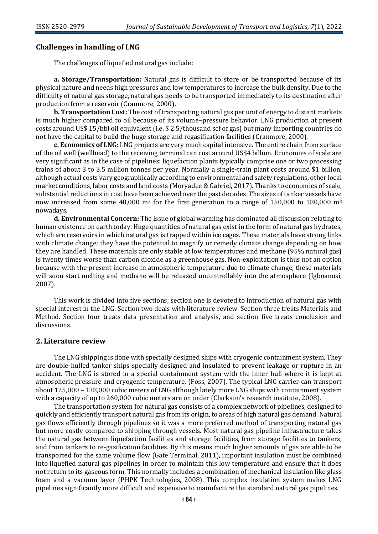## **Challenges in handling of LNG**

The challenges of liquefied natural gas include:

**a. Storage/Transportation:** Natural gas is difficult to store or be transported because of its physical nature and needs high pressures and low temperatures to increase the bulk density. Due to the difficulty of natural gas storage, natural gas needs to be transported immediately to its destination after production from a reservoir (Cranmore, 2000).

**b. Transportation Cost:** The cost of transporting natural gas per unit of energy to distant markets is much higher compared to oil because of its volume–pressure behavior. LNG production at present costs around US\$ 15/bbl oil equivalent (i.e. \$ 2.5/thousand scf of gas) but many importing countries do not have the capital to build the huge storage and regasification facilities (Cranmore, 2000).

**c. Economics of LNG:** LNG projects are very much capital intensive. The entire chain from surface of the oil well (wellhead) to the receiving terminal can cost around US\$4 billion. Economies of scale are very significant as in the case of pipelines: liquefaction plants typically comprise one or two processing trains of about 3 to 3.5 million tonnes per year. Normally a single-train plant costs around \$1 billion, although actual costs vary geographically according to environmental and safety regulations, other local market conditions, labor costs and land costs (Moryadee & Gabriel, 2017). Thanks to economies of scale, substantial reductions in cost have been achieved over the past decades. The sizes of tanker vessels have now increased from some 40,000  $m<sup>3</sup>$  for the first generation to a range of 150,000 to 180,000  $m<sup>3</sup>$ nowadays.

**d. Environmental Concern:** The issue of global warming has dominated all discussion relating to human existence on earth today. Huge quantities of natural gas exist in the form of natural gas hydrates, which are reservoirs in which natural gas is trapped within ice cages. These materials have strong links with climate change; they have the potential to magnify or remedy climate change depending on how they are handled. These materials are only stable at low temperatures and methane (95% natural gas) is twenty times worse than carbon dioxide as a greenhouse gas. Non-exploitation is thus not an option because with the present increase in atmospheric temperature due to climate change, these materials will soon start melting and methane will be released uncontrollably into the atmosphere (Igboanusi, 2007).

This work is divided into five sections; section one is devoted to introduction of natural gas with special interest in the LNG. Section two deals with literature review. Section three treats Materials and Method. Section four treats data presentation and analysis, and section five treats conclusion and discussions.

#### **2. Literature review**

The LNG shipping is done with specially designed ships with cryogenic containment system. They are double-hulled tanker ships specially designed and insulated to prevent leakage or rupture in an accident. The LNG is stored in a special containment system with the inner hull where it is kept at atmospheric pressure and cryogenic temperature, (Foss, 2007). The typical LNG carrier can transport about 125,000 – 138,000 cubic meters of LNG although lately more LNG ships with containment system with a capacity of up to 260,000 cubic meters are on order (Clarkson's research institute, 2008).

The transportation system for natural gas consists of a complex network of pipelines, designed to quickly and efficiently transport natural gas from its origin, to areas of high natural gas demand. Natural gas flows efficiently through pipelines so it was a more preferred method of transporting natural gas but more costly compared to shipping through vessels. Most natural gas pipeline infrastructure takes the natural gas between liquefaction facilities and storage facilities, from storage facilities to tankers, and from tankers to re-gasification facilities. By this means much higher amounts of gas are able to be transported for the same volume flow (Gate Terminal, 2011), important insulation must be combined into liquefied natural gas pipelines in order to maintain this low temperature and ensure that it does not return to its gaseous form. This normally includes a combination of mechanical insulation like glass foam and a vacuum layer (PHPK Technologies, 2008). This complex insulation system makes LNG pipelines significantly more difficult and expensive to manufacture the standard natural gas pipelines.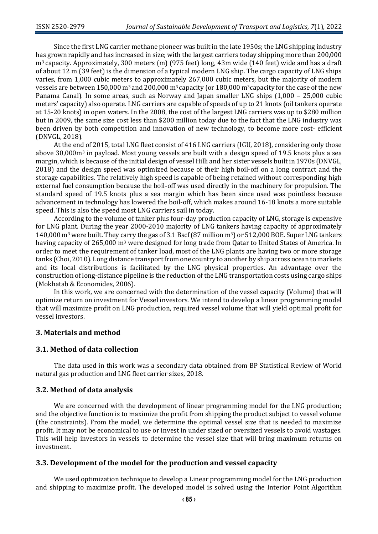Since the first LNG carrier methane pioneer was built in the late 1950s; the LNG shipping industry has grown rapidly and has increased in size; with the largest carriers today shipping more than 200,000 m3 capacity. Approximately, 300 meters (m) (975 feet) long, 43m wide (140 feet) wide and has a draft of about 12 m (39 feet) is the dimension of a typical modern LNG ship. The cargo capacity of LNG ships varies, from 1,000 cubic meters to approximately 267,000 cubic meters, but the majority of modern vessels are between 150,000 m3 and 200,000 m3 capacity (or 180,000 m3capacity for the case of the new Panama Canal). In some areas, such as Norway and Japan smaller LNG ships (1,000 – 25,000 cubic meters' capacity) also operate. LNG carriers are capable of speeds of up to 21 knots (oil tankers operate at 15-20 knots) in open waters. In the 2008, the cost of the largest LNG carriers was up to \$280 million but in 2009, the same size cost less than \$200 million today due to the fact that the LNG industry was been driven by both competition and innovation of new technology, to become more cost- efficient (DNVGL, 2018).

At the end of 2015, total LNG fleet consist of 416 LNG carriers (IGU, 2018), considering only those above 30,000m<sup>3</sup> in payload. Most young vessels are built with a design speed of 19.5 knots plus a sea margin, which is because of the initial design of vessel Hilli and her sister vessels built in 1970s (DNVGL, 2018) and the design speed was optimized because of their high boil-off on a long contract and the storage capabilities. The relatively high speed is capable of being retained without corresponding high external fuel consumption because the boil-off was used directly in the machinery for propulsion. The standard speed of 19.5 knots plus a sea margin which has been since used was pointless because advancement in technology has lowered the boil-off, which makes around 16-18 knots a more suitable speed. This is also the speed most LNG carriers sail in today.

According to the volume of tanker plus four-day production capacity of LNG, storage is expensive for LNG plant. During the year 2000-2010 majority of LNG tankers having capacity of approximately 140,000 m<sup>3</sup> were built. They carry the gas of 3.1 Bscf (87 million m3) or 512,000 BOE. Super LNG tankers having capacity of 265,000 m<sup>3</sup> were designed for long trade from Qatar to United States of America. In order to meet the requirement of tanker load, most of the LNG plants are having two or more storage tanks (Choi, 2010). Long distance transport from one country to another by ship across ocean to markets and its local distributions is facilitated by the LNG physical properties. An advantage over the construction of long-distance pipeline is the reduction of the LNG transportation costs using cargo ships (Mokhatab & Economides, 2006).

In this work, we are concerned with the determination of the vessel capacity (Volume) that will optimize return on investment for Vessel investors. We intend to develop a linear programming model that will maximize profit on LNG production, required vessel volume that will yield optimal profit for vessel investors.

#### **3. Materials and method**

#### **3.1. Method of data collection**

The data used in this work was a secondary data obtained from BP Statistical Review of World natural gas production and LNG fleet carrier sizes, 2018.

#### **3.2. Method of data analysis**

We are concerned with the development of linear programming model for the LNG production; and the objective function is to maximize the profit from shipping the product subject to vessel volume (the constraints). From the model, we determine the optimal vessel size that is needed to maximize profit. It may not be economical to use or invest in under sized or oversized vessels to avoid wastages. This will help investors in vessels to determine the vessel size that will bring maximum returns on investment.

#### **3.3. Development of the model for the production and vessel capacity**

We used optimization technique to develop a Linear programming model for the LNG production and shipping to maximize profit. The developed model is solved using the Interior Point Algorithm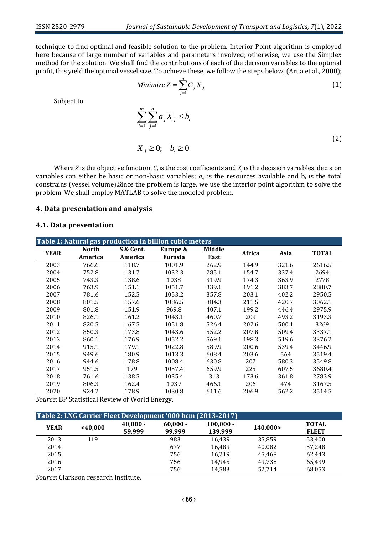technique to find optimal and feasible solution to the problem. Interior Point algorithm is employed here because of large number of variables and parameters involved; otherwise, we use the Simplex method for the solution. We shall find the contributions of each of the decision variables to the optimal profit, this yield the optimal vessel size. To achieve these, we follow the steps below, (Arua et al., 2000);

Minimize 
$$
Z = \sum_{j=1}^{n} C_j X_j
$$
 (1)

Subject to

$$
\sum_{i=1}^{m} \sum_{j=1}^{n} a_j X_j \le b_i
$$
\n
$$
X_j \ge 0; \quad b_i \ge 0
$$
\n
$$
(2)
$$

Where *Z* is the objective function,  $C_j$  is the cost coefficients and  $X_j$  is the decision variables, decision variables can either be basic or non-basic variables;  $a_{ij}$  is the resources available and  $b_i$  is the total constrains (vessel volume).Since the problem is large, we use the interior point algorithm to solve the problem. We shall employ MATLAB to solve the modeled problem.

#### **4. Data presentation and analysis**

## **4.1. Data presentation**

| Table 1: Natural gas production in billion cubic meters |              |           |                |        |        |       |              |  |
|---------------------------------------------------------|--------------|-----------|----------------|--------|--------|-------|--------------|--|
| <b>YEAR</b>                                             | <b>North</b> | S & Cent. | Europe &       | Middle | Africa | Asia  | <b>TOTAL</b> |  |
|                                                         | America      | America   | <b>Eurasia</b> | East   |        |       |              |  |
| 2003                                                    | 766.6        | 118.7     | 1001.9         | 262.9  | 144.9  | 321.6 | 2616.5       |  |
| 2004                                                    | 752.8        | 131.7     | 1032.3         | 285.1  | 154.7  | 337.4 | 2694         |  |
| 2005                                                    | 743.3        | 138.6     | 1038           | 319.9  | 174.3  | 363.9 | 2778         |  |
| 2006                                                    | 763.9        | 151.1     | 1051.7         | 339.1  | 191.2  | 383.7 | 2880.7       |  |
| 2007                                                    | 781.6        | 152.5     | 1053.2         | 357.8  | 203.1  | 402.2 | 2950.5       |  |
| 2008                                                    | 801.5        | 157.6     | 1086.5         | 384.3  | 211.5  | 420.7 | 3062.1       |  |
| 2009                                                    | 801.8        | 151.9     | 969.8          | 407.1  | 199.2  | 446.4 | 2975.9       |  |
| 2010                                                    | 826.1        | 161.2     | 1043.1         | 460.7  | 209    | 493.2 | 3193.3       |  |
| 2011                                                    | 820.5        | 167.5     | 1051.8         | 526.4  | 202.6  | 500.1 | 3269         |  |
| 2012                                                    | 850.3        | 173.8     | 1043.6         | 552.2  | 207.8  | 509.4 | 3337.1       |  |
| 2013                                                    | 860.1        | 176.9     | 1052.2         | 569.1  | 198.3  | 519.6 | 3376.2       |  |
| 2014                                                    | 915.1        | 179.1     | 1022.8         | 589.9  | 200.6  | 539.4 | 3446.9       |  |
| 2015                                                    | 949.6        | 180.9     | 1013.3         | 608.4  | 203.6  | 564   | 3519.4       |  |
| 2016                                                    | 944.6        | 178.8     | 1008.4         | 630.8  | 207    | 580.3 | 3549.8       |  |
| 2017                                                    | 951.5        | 179       | 1057.4         | 659.9  | 225    | 607.5 | 3680.4       |  |
| 2018                                                    | 761.6        | 138.5     | 1035.4         | 313    | 173.6  | 361.8 | 2783.9       |  |
| 2019                                                    | 806.3        | 162.4     | 1039           | 466.1  | 206    | 474   | 3167.5       |  |
| 2020                                                    | 924.2        | 178.9     | 1030.8         | 611.6  | 206.9  | 562.2 | 3514.5       |  |

*Source*: BP Statistical Review of World Energy.

| Table 2: LNG Carrier Fleet Development '000 bcm (2013-2017) |         |                      |                      |                        |          |                              |  |  |  |
|-------------------------------------------------------------|---------|----------------------|----------------------|------------------------|----------|------------------------------|--|--|--|
| <b>YEAR</b>                                                 | <40,000 | $40,000 -$<br>59,999 | $60,000 -$<br>99.999 | $100,000 -$<br>139,999 | 140,000> | <b>TOTAL</b><br><b>FLEET</b> |  |  |  |
| 2013                                                        | 119     |                      | 983                  | 16.439                 | 35.859   | 53,400                       |  |  |  |
| 2014                                                        |         |                      | 677                  | 16.489                 | 40.082   | 57.248                       |  |  |  |
| 2015                                                        |         |                      | 756                  | 16.219                 | 45.468   | 62,443                       |  |  |  |
| 2016                                                        |         |                      | 756                  | 14.945                 | 49.738   | 65,439                       |  |  |  |
| 2017                                                        |         |                      | 756                  | 14.583                 | 52.714   | 68,053                       |  |  |  |

*Source*: Clarkson research Institute.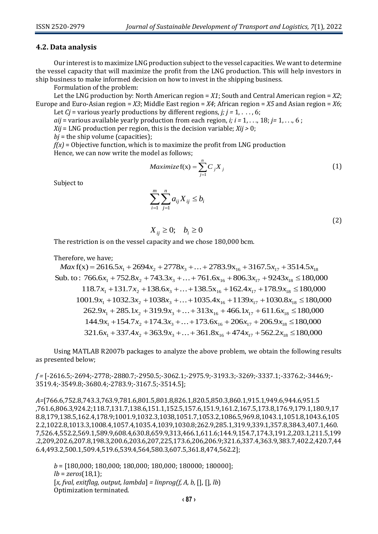## **4.2. Data analysis**

Our interest is to maximize LNG production subject to the vessel capacities. We want to determine the vessel capacity that will maximize the profit from the LNG production. This will help investors in ship business to make informed decision on how to invest in the shipping business.

Formulation of the problem:

Let the LNG production by: North American region = *X1*; South and Central American region = *X2*; Europe and Euro-Asian region = *X3*; Middle East region = *X4*; African region = *X5* and Asian region = *X6*;

Let *Cj* = various yearly productions by different regions, *j; j =* 1, . . . , 6; *aij* = various available yearly production from each region, *i; i =* 1, . . ., 18; *j=* 1, . . ., 6 ;

*Xij* = LNG production per region, this is the decision variable; *Xij >* 0;

 $bi$  = the ship volume (capacities):

*f(x)* = Objective function, which is to maximize the profit from LNG production Hence, we can now write the model as follows;

$$
Maximize f(x) = \sum_{j=1}^{n} C_j X_j
$$
 (1)

Subject to

$$
\sum_{i=1}^m \sum_{j=1}^n a_{ij} X_{ij} \le b_i
$$

(2)

$$
X_{ij} \ge 0; \quad b_i \ge 0
$$

The restriction is on the vessel capacity and we chose 180,000 bcm.

Therefore, we have;

 $Max f(x) = 2616.5x_1 + 2694x_2 + 2778x_3 + ... + 2783.9x_{16} + 3167.5x_{17} + 3514.5x_{18}$ Sub. to:  $766.6x_1 + 752.8x_2 + 743.3x_3 + ... + 761.6x_{16} + 806.3x_{17} + 9243x_{18} \le 180,000$  $118.7x_1 + 131.7x_2 + 138.6x_3 + ... + 138.5x_{16} + 162.4x_{17} + 178.9x_{18} \le 180,000$  $1001.9x_1 + 1032.3x_2 + 1038x_3 + ... + 1035.4x_{16} + 1139x_{17} + 1030.8x_{18} \le 180,000$ <br>  $262.9x_1 + 285.1x_2 + 319.9x_3 + ... + 313x_{16} + 466.1x_{17} + 611.6x_{18} \le 180,000$ <br>  $144.9x_1 + 154.7x_2 + 174.3x_3 + ... + 173.6x_{16} + 206x_{17} + 206.9x$ 

Using MATLAB R2007b packages to analyze the above problem, we obtain the following results as presented below;

*f =* [-2616.5;-2694;-2778;-2880.7;-2950.5;-3062.1;-2975.9;-3193.3;-3269;-3337.1;-3376.2;-3446.9;- 3519.4;-3549.8;-3680.4;-2783.9;-3167.5;-3514.5];

*A=*[766.6,752.8,743.3,763.9,781.6,801.5,801.8,826.1,820.5,850.3,860.1,915.1,949.6,944.6,951.5 ,761.6,806.3,924.2;118.7,131.7,138.6,151.1,152.5,157.6,151.9,161.2,167.5,173.8,176.9,179.1,180.9,17 8.8,179,138.5,162.4,178.9;1001.9,1032.3,1038,1051.7,1053.2,1086.5,969.8,1043.1,1051.8,1043.6,105 2.2,1022.8,1013.3,1008.4,1057.4,1035.4,1039,1030.8;262.9,285.1,319.9,339.1,357.8,384.3,407.1,460. 7,526.4,552.2,569.1,589.9,608.4,630.8,659.9,313,466.1,611.6;144.9,154.7,174.3,191.2,203.1,211.5,199 .2,209,202.6,207.8,198.3,200.6,203.6,207,225,173.6,206,206.9;321.6,337.4,363.9,383.7,402.2,420.7,44 6.4,493.2,500.1,509.4,519.6,539.4,564,580.3,607.5,361.8,474,562.2];

*b* = [180,000; 180,000; 180,000; 180,000; 180000; 180000]; *lb* = *zeros*(18,1); [*x, fval, exitflag, output, lambda*] *= linprog(f, A, b,* [], [], *lb*) Optimization terminated.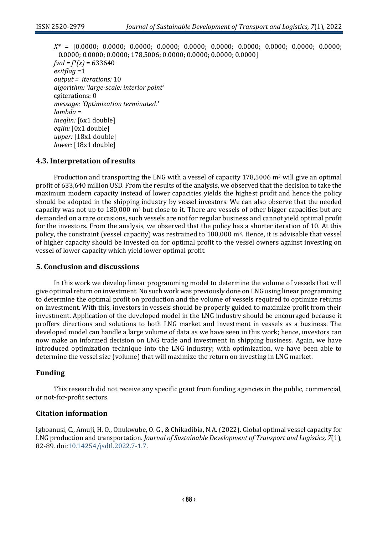*X\** = [0.0000; 0.0000; 0.0000; 0.0000; 0.0000; 0.0000; 0.0000; 0.0000; 0.0000; 0.0000; 0.0000; 0.0000; 0.0000; 178,5006; 0.0000; 0.0000; 0.0000; 0.0000]  $fval = f^{*}(x) = 633640$ *exitflag* =1 *output = iterations:* 10 *algorithm: 'large-scale: interior point'* cgiterations: 0 *message: 'Optimization terminated.' lambda = ineqlin:* [6x1 double] *eqlin:* [0x1 double] *upper:* [18x1 double] *lower:* [18x1 double]

## **4.3. Interpretation of results**

Production and transporting the LNG with a vessel of capacity 178,5006  $m<sup>3</sup>$  will give an optimal profit of 633,640 million USD. From the results of the analysis, we observed that the decision to take the maximum modern capacity instead of lower capacities yields the highest profit and hence the policy should be adopted in the shipping industry by vessel investors. We can also observe that the needed capacity was not up to  $180,000$  m<sup>3</sup> but close to it. There are vessels of other bigger capacities but are demanded on a rare occasions, such vessels are not for regular business and cannot yield optimal profit for the investors. From the analysis, we observed that the policy has a shorter iteration of 10. At this policy, the constraint (vessel capacity) was restrained to 180,000 m3. Hence, it is advisable that vessel of higher capacity should be invested on for optimal profit to the vessel owners against investing on vessel of lower capacity which yield lower optimal profit.

## **5. Conclusion and discussions**

In this work we develop linear programming model to determine the volume of vessels that will give optimal return on investment. No such work was previously done on LNG using linear programming to determine the optimal profit on production and the volume of vessels required to optimize returns on investment. With this, investors in vessels should be properly guided to maximize profit from their investment. Application of the developed model in the LNG industry should be encouraged because it proffers directions and solutions to both LNG market and investment in vessels as a business. The developed model can handle a large volume of data as we have seen in this work; hence, investors can now make an informed decision on LNG trade and investment in shipping business. Again, we have introduced optimization technique into the LNG industry; with optimization, we have been able to determine the vessel size (volume) that will maximize the return on investing in LNG market.

## **Funding**

This research did not receive any specific grant from funding agencies in the public, commercial, or not-for-profit sectors.

## **Citation information**

Igboanusi, C., Amuji, H. O., Onukwube, O. G., & Chikadibia, N.A. (2022). Global optimal vessel capacity for LNG production and transportation. *Journal of Sustainable Development of Transport and Logistics, 7*(1), 82-89. doi[:10.14254/jsdtl.2022.7-1.7.](https://doi.org/10.14254/jsdtl.2022.7-1.7)